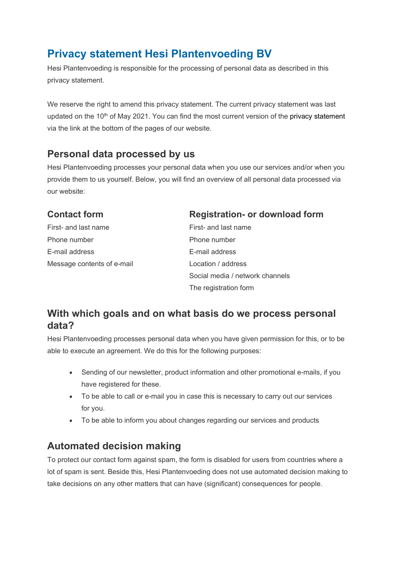# **Privacy statement Hesi Plantenvoeding BV**

Hesi Plantenvoeding is responsible for the processing of personal data as described in this privacy statement.

We reserve the right to amend this privacy statement. The current privacy statement was last updated on the 10<sup>th</sup> of May 2021. You can find the most current version of the privacy statement via the link at the bottom of the pages of our website.

#### **Personal data processed by us**

Hesi Plantenvoeding processes your personal data when you use our services and/or when you provide them to us yourself. Below, you will find an overview of all personal data processed via our website:

| <b>Contact form</b>        | <b>Registration- or download form</b> |
|----------------------------|---------------------------------------|
| First- and last name       | First- and last name                  |
| Phone number               | Phone number                          |
| E-mail address             | E-mail address                        |
| Message contents of e-mail | Location / address                    |
|                            | Social media / network channels       |
|                            | The registration form                 |

## **With which goals and on what basis do we process personal data?**

Hesi Plantenvoeding processes personal data when you have given permission for this, or to be able to execute an agreement. We do this for the following purposes:

- Sending of our newsletter, product information and other promotional e-mails, if you have registered for these.
- To be able to call or e-mail you in case this is necessary to carry out our services for you.
- To be able to inform you about changes regarding our services and products

## **Automated decision making**

To protect our contact form against spam, the form is disabled for users from countries where a lot of spam is sent. Beside this, Hesi Plantenvoeding does not use automated decision making to take decisions on any other matters that can have (significant) consequences for people.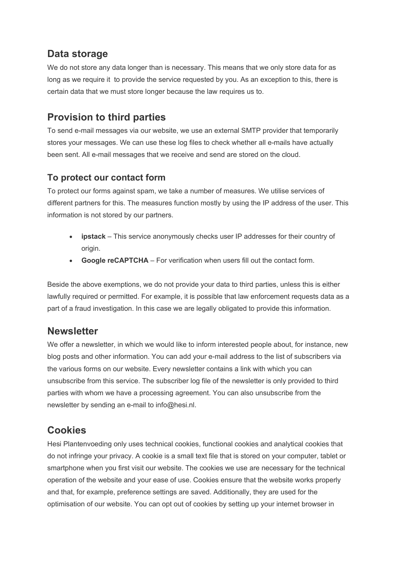# **Data storage**

We do not store any data longer than is necessary. This means that we only store data for as long as we require it to provide the service requested by you. As an exception to this, there is certain data that we must store longer because the law requires us to.

# **Provision to third parties**

To send e-mail messages via our website, we use an external SMTP provider that temporarily stores your messages. We can use these log files to check whether all e-mails have actually been sent. All e-mail messages that we receive and send are stored on the cloud.

#### **To protect our contact form**

To protect our forms against spam, we take a number of measures. We utilise services of different partners for this. The measures function mostly by using the IP address of the user. This information is not stored by our partners.

- **ipstack** This service anonymously checks user IP addresses for their country of origin.
- **Google reCAPTCHA** For verification when users fill out the contact form.

Beside the above exemptions, we do not provide your data to third parties, unless this is either lawfully required or permitted. For example, it is possible that law enforcement requests data as a part of a fraud investigation. In this case we are legally obligated to provide this information.

#### **Newsletter**

We offer a newsletter, in which we would like to inform interested people about, for instance, new blog posts and other information. You can add your e-mail address to the list of subscribers via the various forms on our website. Every newsletter contains a link with which you can unsubscribe from this service. The subscriber log file of the newsletter is only provided to third parties with whom we have a processing agreement. You can also unsubscribe from the newsletter by sending an e-mail to info@hesi.nl.

## **Cookies**

Hesi Plantenvoeding only uses technical cookies, functional cookies and analytical cookies that do not infringe your privacy. A cookie is a small text file that is stored on your computer, tablet or smartphone when you first visit our website. The cookies we use are necessary for the technical operation of the website and your ease of use. Cookies ensure that the website works properly and that, for example, preference settings are saved. Additionally, they are used for the optimisation of our website. You can opt out of cookies by setting up your internet browser in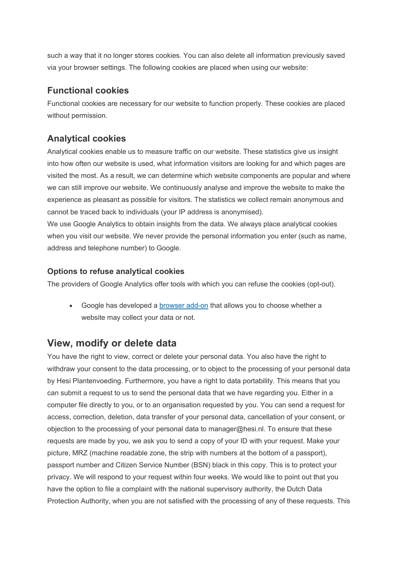such a way that it no longer stores cookies. You can also delete all information previously saved via your browser settings. The following cookies are placed when using our website:

#### **Functional cookies**

Functional cookies are necessary for our website to function properly. These cookies are placed without permission.

#### **Analytical cookies**

Analytical cookies enable us to measure traffic on our website. These statistics give us insight into how often our website is used, what information visitors are looking for and which pages are visited the most. As a result, we can determine which website components are popular and where we can still improve our website. We continuously analyse and improve the website to make the experience as pleasant as possible for visitors. The statistics we collect remain anonymous and cannot be traced back to individuals (your IP address is anonymised).

We use Google Analytics to obtain insights from the data. We always place analytical cookies when you visit our website. We never provide the personal information you enter (such as name, address and telephone number) to Google.

#### **Options to refuse analytical cookies**

The providers of Google Analytics offer tools with which you can refuse the cookies (opt-out).

• Google has developed a [browser add-on](https://tools.google.com/dlpage/gaoptout?hl=nl) that allows you to choose whether a website may collect your data or not.

## **View, modify or delete data**

You have the right to view, correct or delete your personal data. You also have the right to withdraw your consent to the data processing, or to object to the processing of your personal data by Hesi Plantenvoeding. Furthermore, you have a right to data portability. This means that you can submit a request to us to send the personal data that we have regarding you. Either in a computer file directly to you, or to an organisation requested by you. You can send a request for access, correction, deletion, data transfer of your personal data, cancellation of your consent, or objection to the processing of your personal data to manager@hesi.nl. To ensure that these requests are made by you, we ask you to send a copy of your ID with your request. Make your picture, MRZ (machine readable zone, the strip with numbers at the bottom of a passport), passport number and Citizen Service Number (BSN) black in this copy. This is to protect your privacy. We will respond to your request within four weeks. We would like to point out that you have the option to file a complaint with the national supervisory authority, the Dutch Data Protection Authority, when you are not satisfied with the processing of any of these requests. This